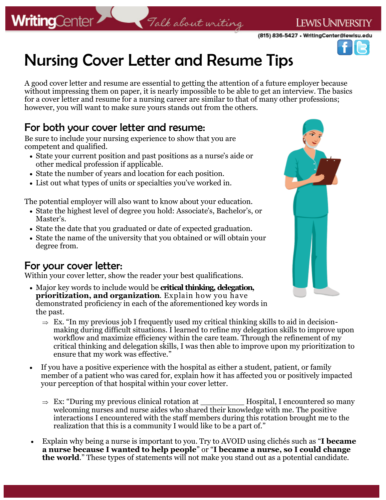## **WritingCenter**

### LEWIS UNIVERSITY

(815) 836-5427 • WritingCenter@lewisu.edu



# Nursing Cover Letter and Resume Tips

A good cover letter and resume are essential to getting the attention of a future employer because without impressing them on paper, it is nearly impossible to be able to get an interview. The basics for a cover letter and resume for a nursing career are similar to that of many other professions; however, you will want to make sure yours stands out from the others.

Talk about writing

#### For both your cover letter and resume:

Be sure to include your nursing experience to show that you are competent and qualified.

- State your current position and past positions as a nurse's aide or other medical profession if applicable.
- State the number of years and location for each position.
- List out what types of units or specialties you've worked in.

The potential employer will also want to know about your education.

- State the highest level of degree you hold: Associate's, Bachelor's, or Master's.
- State the date that you graduated or date of expected graduation.
- State the name of the university that you obtained or will obtain your degree from.

#### For your cover letter:

Within your cover letter, show the reader your best qualifications.

- Major key words to include would be **critical thinking, delegation, prioritization, and organization**. Explain how you have demonstrated proficiency in each of the aforementioned key words in the past.
	- $\Rightarrow$  Ex. "In my previous job I frequently used my critical thinking skills to aid in decisionmaking during difficult situations. I learned to refine my delegation skills to improve upon workflow and maximize efficiency within the care team. Through the refinement of my critical thinking and delegation skills, I was then able to improve upon my prioritization to ensure that my work was effective."
- If you have a positive experience with the hospital as either a student, patient, or family member of a patient who was cared for, explain how it has affected you or positively impacted your perception of that hospital within your cover letter.
	- Ex: "During my previous clinical rotation at \_\_\_\_\_\_\_\_\_ Hospital, I encountered so many welcoming nurses and nurse aides who shared their knowledge with me. The positive interactions I encountered with the staff members during this rotation brought me to the realization that this is a community I would like to be a part of."
- Explain why being a nurse is important to you. Try to AVOID using clichés such as "**I became a nurse because I wanted to help people**" or "**I became a nurse, so I could change the world**." These types of statements will not make you stand out as a potential candidate.